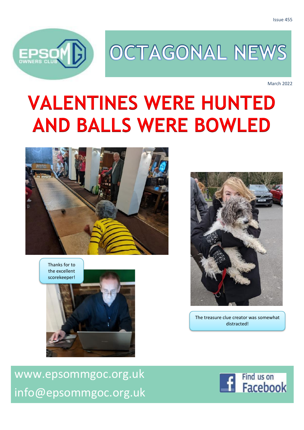

# OCTAGONAL NEWS

March 2022

# **VALENTINES WERE HUNTED AND BALLS WERE BOWLED**



Thanks for to the excellent scorekeeper!





The treasure clue creator was somewhat distracted!

[www.epsommgoc.org.uk](http://www.epsommgoc.org.uk/) [info@epsommgoc.org.uk](mailto:info@epsommgoc.org.uk)

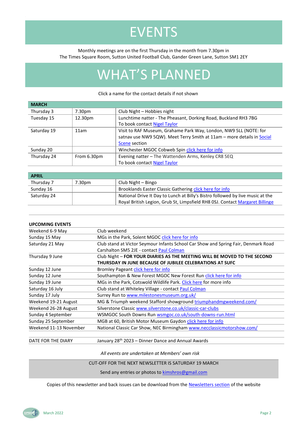## EVENTS

Monthly meetings are on the first Thursday in the month from 7.30pm in The Times Square Room, Sutton United Football Club, Gander Green Lane, Sutton SM1 2EY

## WHAT'S PLANNED

#### Click a name for the contact details if not shown

| <b>MARCH</b> |             |                                                                        |  |
|--------------|-------------|------------------------------------------------------------------------|--|
| Thursday 3   | 7.30pm      | Club Night - Hobbies night                                             |  |
| Tuesday 15   | 12.30pm     | Lunchtime natter - The Pheasant, Dorking Road, Buckland RH3 7BG        |  |
|              |             | To book contact Nigel Taylor                                           |  |
| Saturday 19  | 11am        | Visit to RAF Museum, Grahame Park Way, London, NW9 5LL (NOTE: for      |  |
|              |             | satnav use NW9 5QW). Meet Terry Smith at 11am - more details in Social |  |
|              |             | <b>Scene section</b>                                                   |  |
| Sunday 20    |             | Winchester MGOC Cobweb Spin click here for info                        |  |
| Thursday 24  | From 6.30pm | Evening natter - The Wattenden Arms, Kenley CR8 5EQ                    |  |
|              |             | To book contact Nigel Taylor                                           |  |
|              |             |                                                                        |  |

| <b>APRIL</b> |        |                                                                                |
|--------------|--------|--------------------------------------------------------------------------------|
| Thursday 7   | 7.30pm | Club Night – Bingo                                                             |
| Sunday 16    |        | Brooklands Easter Classic Gathering click here for info                        |
| Saturday 24  |        | National Drive It Day to Lunch at Billy's Bistro followed by live music at the |
|              |        | Royal British Legion, Grub St, Limpsfield RH8 0SJ. Contact Margaret Billinge   |

| <b>UPCOMING EVENTS</b> |                                                                                    |  |
|------------------------|------------------------------------------------------------------------------------|--|
| Weekend 6-9 May        | Club weekend                                                                       |  |
| Sunday 15 May          | MGs in the Park, Solent MGOC click here for info                                   |  |
| Saturday 21 May        | Club stand at Victor Seymour Infants School Car Show and Spring Fair, Denmark Road |  |
|                        | Carshalton SM5 2JE - contact Paul Colman                                           |  |
| Thursday 9 June        | Club Night - FOR YOUR DIARIES AS THE MEETING WILL BE MOVED TO THE SECOND           |  |
|                        | THURSDAY IN JUNE BECAUSE OF JUBILEE CELEBRATIONS AT SUFC                           |  |
| Sunday 12 June         | Bromley Pageant click here for info                                                |  |
| Sunday 12 June         | Southampton & New Forest MGOC New Forest Run click here for info                   |  |
| Sunday 19 June         | MGs in the Park, Cotswold Wildlife Park. Click here for more info                  |  |
| Saturday 16 July       | Club stand at Whiteley Village - contact Paul Colman                               |  |
| Sunday 17 July         | Surrey Run to www.milestonesmuseum.org.uk/                                         |  |
| Weekend 19-21 August   | MG & Triumph weekend Stafford showground triumphandmgweekend.com/                  |  |
| Weekend 26-28 August   | Silverstone Classic www.silverstone.co.uk/classic-car-clubs                        |  |
| Sunday 4 September     | WSMGOC South Downs Run wsmgoc.co.uk/south-downs-run.html                           |  |
| Sunday 25 September    | MGB at 60, British Motor Museum Gaydon click here for info                         |  |
| Weekend 11-13 November | National Classic Car Show, NEC Birmingham www.necclassicmotorshow.com/             |  |
|                        |                                                                                    |  |

DATE FOR THE DIARY January 28<sup>th</sup> 2023 – Dinner Dance and Annual Awards

*All events are undertaken at Members' own risk*

CUT-OFF FOR THE NEXT NEWSLETTER IS SATURDAY 19 MARCH

Send any entries or photos to **kimshros@gmail.com** 

Copies of this newsletter and back issues can be download from th[e Newsletters section](http://www.epsommgoc.org.uk/epsom-mgoc-newsletters/) of the website

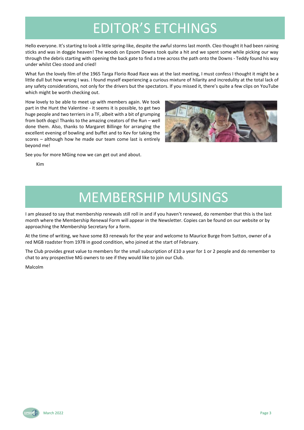## EDITOR'S ETCHINGS

Hello everyone. It's starting to look a little spring-like, despite the awful storms last month. Cleo thought it had been raining sticks and was in doggie heaven! The woods on Epsom Downs took quite a hit and we spent some while picking our way through the debris starting with opening the back gate to find a tree across the path onto the Downs - Teddy found his way under whilst Cleo stood and cried!

What fun the lovely film of the 1965 Targa Florio Road Race was at the last meeting, I must confess I thought it might be a little dull but how wrong I was. I found myself experiencing a curious mixture of hilarity and incredulity at the total lack of any safety considerations, not only for the drivers but the spectators. If you missed it, there's quite a few clips on YouTube which might be worth checking out.

How lovely to be able to meet up with members again. We took part in the Hunt the Valentine - it seems it is possible, to get two huge people and two terriers in a TF, albeit with a bit of grumping from both dogs! Thanks to the amazing creators of the Run – well done them. Also, thanks to Margaret Billinge for arranging the excellent evening of bowling and buffet and to Kev for taking the scores – although how he made our team come last is entirely beyond me!



See you for more MGing now we can get out and about.

Kim

## MEMBERSHIP MUSINGS

I am pleased to say that membership renewals still roll in and if you haven't renewed, do remember that this is the last month where the Membership Renewal Form will appear in the Newsletter. Copies can be found on our website or by approaching the Membership Secretary for a form.

At the time of writing, we have some 83 renewals for the year and welcome to Maurice Burge from Sutton, owner of a red MGB roadster from 1978 in good condition, who joined at the start of February.

The Club provides great value to members for the small subscription of £10 a year for 1 or 2 people and do remember to chat to any prospective MG owners to see if they would like to join our Club.

Malcolm

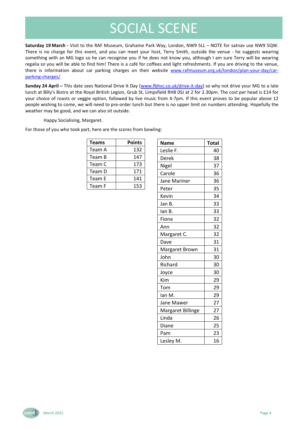## SOCIAL SCENE

<span id="page-3-0"></span>**Saturday 19 March -** Visit to the RAF Museum, Grahame Park Way, London, NW9 5LL – NOTE for satnav use NW9 5QW. There is no charge for this event, and you can meet your host, Terry Smith, outside the venue - he suggests wearing something with an MG logo so he can recognise you if he does not know you, although I am sure Terry will be wearing regalia so you will be able to find him! There is a café for coffees and light refreshments. If you are driving to the venue, there is information about car parking charges on their website [www.rafmuseum.org.uk/london/plan-your-day/car](file:///G:/My%20Drive/Data/MG/Newsletters/Archive/www.rafmuseum.org.uk/london/plan-your-day/car-parking-charges/)[parking-charges/](file:///G:/My%20Drive/Data/MG/Newsletters/Archive/www.rafmuseum.org.uk/london/plan-your-day/car-parking-charges/)

**Sunday 24 April –** This date sees National Drive It Day [\(www.fbhvc.co.uk/drive-it-day\)](http://www.fbhvc.co.uk/drive-it-day) so why not drive your MG to a late lunch at Billy's Bistro at the Royal British Legion, Grub St, Limpsfield RH8 0SJ at 2 for 2.30pm. The cost per head is £14 for your choice of roasts or veggie option, followed by live music from 4-7pm. If this event proves to be popular above 12 people wishing to come, we will need to pre-order lunch but there is no upper limit on numbers attending. Hopefully the weather may be good, and we can also sit outside.

Happy Socialising, Margaret.

For those of you who took part, here are the scores from bowling:

| <b>Teams</b> | <b>Points</b> |
|--------------|---------------|
| Team A       | 132           |
| Team B       | 147           |
| Team C       | 173           |
| Team D       | 171           |
| Team E       | 141           |
| Team F       | 153           |

| <b>Name</b>       | <b>Total</b> |
|-------------------|--------------|
| Leslie F.         | 40           |
| Derek             | 38           |
| Nigel             | 37           |
| Carole            | 36           |
| Jane Mariner      | 36           |
| Peter             | 35           |
| Kevin             | 34           |
| Jan B.            | 33           |
| lan B.            | 33           |
| Fiona             | 32           |
| Ann               | 32           |
| Margaret C.       | 32           |
| Dave              | 31           |
| Margaret Brown    | 31           |
| John              | 30           |
| Richard           | 30           |
| Joyce             | 30           |
| Kim               | 29           |
| Tom               | 29           |
| lan M.            | 29           |
| Jane Mawer        | 27           |
| Margaret Billinge | 27           |
| Linda             | 26           |
| Diane             | 25           |
| Pam               | 23           |
| Lesley M.         | 16           |

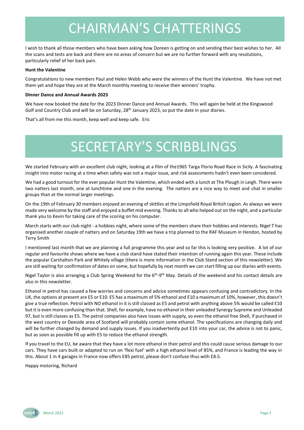## CHAIRMAN'S CHATTERINGS

I wish to thank all those members who have been asking how Doreen is getting on and sending their best wishes to her. All the scans and tests are back and there are no areas of concern but we are no further forward with any resolutions, particularly relief of her back pain.

#### **Hunt the Valentine**

Congratulations to new members Paul and Helen Webb who were the winners of the Hunt the Valentine. We have not met them yet and hope they are at the March monthly meeting to receive their winners' trophy.

#### **Dinner Dance and Annual Awards 2023**

We have now booked the date for the 2023 Dinner Dance and Annual Awards. This will again be held at the Kingswood Golf and Country Club and will be on Saturday,  $28<sup>th</sup>$  January 2023, so put the date in your diaries.

That's all from me this month, keep well and keep safe. Eric

## SECRETARY'S SCRIBBLINGS

We started February with an excellent club night, looking at a film of the1965 Targa Florio Road Race in Sicily. A fascinating insight into motor racing at a time when safety was not a major issue, and risk assessments hadn't even been considered.

We had a good turnout for the ever popular Hunt the Valentine, which ended with a lunch at The Plough in Leigh. There were two natters last month, one at lunchtime and one in the evening. The natters are a nice way to meet and chat in smaller groups than at the normal larger meetings.

On the 19th of February 30 members enjoyed an evening of skittles at the Limpsfield Royal British Legion. As always we were made very welcome by the staff and enjoyed a buffet mid evening. Thanks to all who helped out on the night, and a particular thank you to Kevin for taking care of the scoring on his computer.

March starts with our club night - a hobbies night, where some of the members share their hobbies and interests. Nigel T has organised another couple of natters and on Saturday 19th we have a trip planned to the RAF Museum in Hendon, hosted by Terry Smith

I mentioned last month that we are planning a full programme this year and so far this is looking very positive. A lot of our regular and favourite shows where we have a club stand have stated their intention of running again this year. These include the popular Carshalton Park and Whitely village (there is more information in the Club Stand section of this newsletter). We are still waiting for confirmation of dates on some, but hopefully by next month we can start filling up our diaries with events.

Nigel Taylor is also arranging a Club Spring Weekend for the 6<sup>th</sup>-9<sup>th</sup> May. Details of the weekend and his contact details are also in this newsletter.

Ethanol in petrol has caused a few worries and concerns and advice sometimes appears confusing and contradictory. In the UK, the options at present are E5 or E10. E5 has a maximum of 5% ethanol and E10 a maximum of 10%, however, this doesn't give a true reflection. Petrol with NO ethanol in it is still classed as E5 and petrol with anything above 5% would be called E10 but it is even more confusing than that. Shell, for example, have no ethanol in their unleaded Synergy Supreme and Unleaded 97, but is still classes as E5. The petrol companies also have issues with supply, so even the ethanol free Shell, if purchased in the west country or Deeside area of Scotland will probably contain some ethanol. The specifications are changing daily and will be further changed by demand and supply issues. If you inadvertently put E10 into your car, the advice is not to panic, but as soon as possible fill up with E5 to reduce the ethanol strength.

If you travel to the EU, be aware that they have a lot more ethanol in their petrol and this could cause serious damage to our cars. They have cars built or adapted to run on 'flexi fuel' with a high ethanol level of 85%, and France is leading the way in this. About 1 in 4 garages in France now offers E85 petrol, please don't confuse thus with E8.5.

Happy motoring, Richard

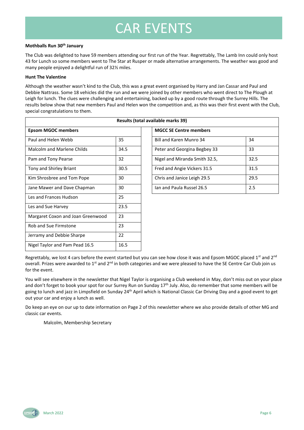## CAR EVENTS

### **Mothballs Run 30th January**

The Club was delighted to have 59 members attending our first run of the Year. Regrettably, The Lamb Inn could only host 43 for Lunch so some members went to The Star at Rusper or made alternative arrangements. The weather was good and many people enjoyed a delightful run of 32½ miles.

### **Hunt The Valentine**

Although the weather wasn't kind to the Club, this was a great event organised by Harry and Jan Cassar and Paul and Debbie Nattrass. Some 18 vehicles did the run and we were joined by other members who went direct to The Plough at Leigh for lunch. The clues were challenging and entertaining, backed up by a good route through the Surrey Hills. The results below show that new members Paul and Helen won the competition and, as this was their first event with the Club, special congratulations to them.

| Results (total available marks 39) |      |                               |      |  |
|------------------------------------|------|-------------------------------|------|--|
| <b>Epsom MGOC members</b>          |      | <b>MGCC SE Centre members</b> |      |  |
| Paul and Helen Webb                | 35   | Bill and Karen Munro 34       | 34   |  |
| <b>Malcolm and Marlene Childs</b>  | 34.5 | Peter and Georgina Begbey 33  | 33   |  |
| Pam and Tony Pearse                | 32   | Nigel and Miranda Smith 32.5, | 32.5 |  |
| Tony and Shirley Briant            | 30.5 | Fred and Angie Vickers 31.5   | 31.5 |  |
| Kim Shrosbree and Tom Pope         | 30   | Chris and Janice Leigh 29.5   | 29.5 |  |
| Jane Mawer and Dave Chapman        | 30   | lan and Paula Russel 26.5     | 2.5  |  |
| Les and Frances Hudson             | 25   |                               |      |  |
| Les and Sue Harvey                 | 23.5 |                               |      |  |
| Margaret Coxon and Joan Greenwood  | 23   |                               |      |  |
| Rob and Sue Firmstone              | 23   |                               |      |  |
| Jerramy and Debbie Sharpe          | 22   |                               |      |  |
| Nigel Taylor and Pam Pead 16.5     | 16.5 |                               |      |  |

| ailable marks 39)             |      |  |
|-------------------------------|------|--|
| <b>MGCC SE Centre members</b> |      |  |
| Bill and Karen Munro 34       | 34   |  |
| Peter and Georgina Begbey 33  | 33   |  |
| Nigel and Miranda Smith 32.5, | 32.5 |  |
| Fred and Angie Vickers 31.5   | 31.5 |  |
| Chris and Janice Leigh 29.5   | 29.5 |  |
| lan and Paula Russel 26.5     | 2.5  |  |

Regrettably, we lost 4 cars before the event started but you can see how close it was and Epsom MGOC placed 1<sup>st</sup> and 2<sup>nd</sup> overall. Prizes were awarded to  $1^{st}$  and  $2^{nd}$  in both categories and we were pleased to have the SE Centre Car Club join us for the event.

You will see elsewhere in the newsletter that Nigel Taylor is organising a Club weekend in May, don't miss out on your place and don't forget to book your spot for our Surrey Run on Sunday 17<sup>th</sup> July. Also, do remember that some members will be going to lunch and jazz in Limpsfield on Sunday 24<sup>th</sup> April which is National Classic Car Driving Day and a good event to get out your car and enjoy a lunch as well.

Do keep an eye on our up to date information on Page 2 of this newsletter where we also provide details of other MG and classic car events.

Malcolm, Membership Secretary

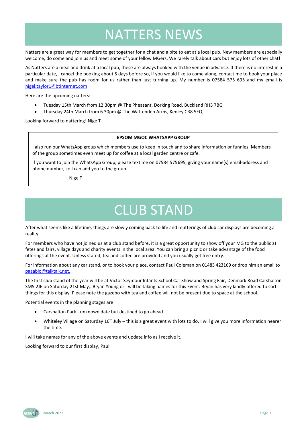## NATTERS NEWS

Natters are a great way for members to get together for a chat and a bite to eat at a local pub. New members are especially welcome, do come and join us and meet some of your fellow MGers. We rarely talk about cars but enjoy lots of other chat!

As Natters are a meal and drink at a local pub, these are always booked with the venue in advance. If there is no interest in a particular date, I cancel the booking about 5 days before so, if you would like to come along, contact me to book your place and make sure the pub has room for us rather than just turning up. My number is 07584 575 695 and my email is [nigel.taylor1@btinternet.com](mailto:nigel.taylor1@btinternet.com)

Here are the upcoming natters:

- Tuesday 15th March from 12.30pm @ The Pheasant, Dorking Road, Buckland RH3 7BG
- Thursday 24th March from 6.30pm @ The Wattenden Arms, Kenley CR8 5EQ

Looking forward to nattering! Nige T

#### **EPSOM MGOC WHATSAPP GROUP**

I also run our WhatsApp group which members use to keep in touch and to share information or funnies. Members of the group sometimes even meet up for coffee at a local garden centre or cafe.

If you want to join the WhatsApp Group, please text me on 07584 575695, giving your name(s) email-address and phone number, so I can add you to the group.

Nige T

## CLUB STAND

After what seems like a lifetime, things are slowly coming back to life and mutterings of club car displays are becoming a reality.

For members who have not joined us at a club stand before, it is a great opportunity to show off your MG to the public at fetes and fairs, village days and charity events in the local area. You can bring a picnic or take advantage of the food offerings at the event. Unless stated, tea and coffee are provided and you usually get free entry.

For information about any car stand, or to book your place, contact Paul Coleman on 01483 423169 or drop him an email to [paaablo@talktalk.net.](mailto:paaablo@talktalk.net)

The first club stand of the year will be at Victor Seymour Infants School Car Show and Spring Fair, Denmark Road Carshalton SM5 2JE on Saturday 21st May,. Bryan Young or I will be taking names for this Event. Bryan has very kindly offered to sort things for this display. Please note the gazebo with tea and coffee will not be present due to space at the school.

Potential events in the planning stages are:

- Carshalton Park unknown date but destined to go ahead.
- Whiteley Village on Saturday  $16<sup>th</sup>$  July this is a great event with lots to do, I will give you more information nearer the time.

I will take names for any of the above events and update info as I receive it.

Looking forward to our first display, Paul

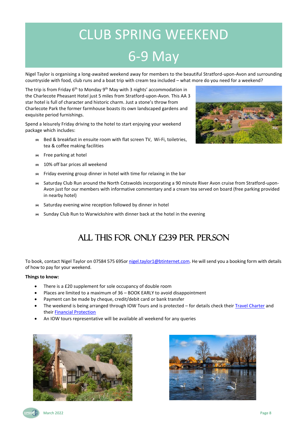## CLUB SPRING WEEKEND 6-9 May

Nigel Taylor is organising a long-awaited weekend away for members to the beautiful Stratford-upon-Avon and surrounding countryside with food, club runs and a boat trip with cream tea included – what more do you need for a weekend?

The trip is from Friday 6<sup>th</sup> to Monday 9<sup>th</sup> May with 3 nights' accommodation in the Charlecote Pheasant Hotel just 5 miles from Stratford-upon-Avon. This AA 3 star hotel is full of character and historic charm. Just a stone's throw from Charlecote Park the former farmhouse boasts its own landscaped gardens and exquisite period furnishings.

Spend a leisurely Friday driving to the hotel to start enjoying your weekend package which includes:

- $\Rightarrow$  Bed & breakfast in ensuite room with flat screen TV, Wi-Fi, toiletries, tea & coffee making facilities
- $\Rightarrow$  Free parking at hotel
- $\approx$  10% off bar prices all weekend
- $\Rightarrow$  Friday evening group dinner in hotel with time for relaxing in the bar
- Saturday Club Run around the North Cotswolds incorporating a 90 minute River Avon cruise from Stratford-upon-Avon just for our members with informative commentary and a cream tea served on board (free parking provided in nearby hotel)
- $\Rightarrow$  Saturday evening wine reception followed by dinner in hotel
- $\Rightarrow$  Sunday Club Run to Warwickshire with dinner back at the hotel in the evening

### All this for only £239 per person

To book, contact Nigel Taylor on 07584 575 695or [nigel.taylor1@btinternet.com.](mailto:nigel.taylor1@btinternet.com) He will send you a booking form with details of how to pay for your weekend.

### **Things to know:**

- There is a £20 supplement for sole occupancy of double room
- Places are limited to a maximum of 36 BOOK EARLY to avoid disappointment
- Payment can be made by cheque, credit/debit card or bank transfer
- The weekend is being arranged through IOW Tours and is protected for details check their [Travel Charter](http://iowtours.uk/trading-charter/) and their [Financial Protection](http://iowtours.uk/financial-protection/)
- An IOW tours representative will be available all weekend for any queries







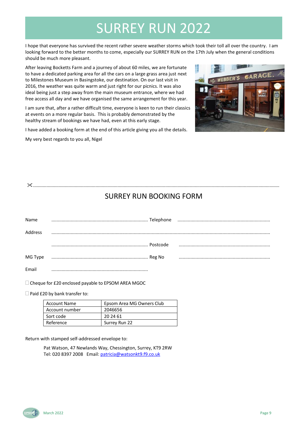## SURREY RUN 2022

I hope that everyone has survived the recent rather severe weather storms which took their toll all over the country. I am looking forward to the better months to come, especially our SURREY RUN on the 17th July when the general conditions should be much more pleasant.

After leaving Bocketts Farm and a journey of about 60 miles, we are fortunate to have a dedicated parking area for all the cars on a large grass area just next to Milestones Museum in Basingstoke, our destination. On our last visit in 2016, the weather was quite warm and just right for our picnics. It was also ideal being just a step away from the main museum entrance, where we had free access all day and we have organised the same arrangement for this year.

I am sure that, after a rather difficult time, everyone is keen to run their classics at events on a more regular basis. This is probably demonstrated by the healthy stream of bookings we have had, even at this early stage.

I have added a booking form at the end of this article giving you all the details.

My very best regards to you all, Nigel



### .........................................................................................................................................................................................................

### SURREY RUN BOOKING FORM

| Name    |  |  |
|---------|--|--|
| Address |  |  |
|         |  |  |
| MG Type |  |  |
| Email   |  |  |

 $\Box$  Cheque for £20 enclosed payable to EPSOM AREA MGOC

 $\square$  Paid £20 by bank transfer to:

| <b>Account Name</b> | Epsom Area MG Owners Club |
|---------------------|---------------------------|
| Account number      | 2046656                   |
| Sort code           | 20 24 61                  |
| Reference           | Surrey Run 22             |

Return with stamped self-addressed envelope to:

Pat Watson, 47 Newlands Way, Chessington, Surrey, KT9 2RW Tel: 020 8397 2008 Email: [patricia@watsonkt9.f9.co.uk](mailto:patricia@watsonkt9.f9.co.uk)

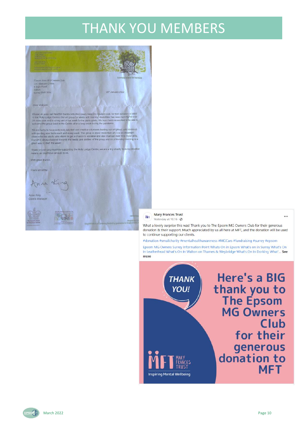## THANK YOU MEMBERS



**Mary Frances Trust** Yesterday at 10:16 · ◎

What a lovely surprise this was! Thank you to The Epsom MG Owners Club for their generous donation & their support. Much appreciated by us all here at MFT, and the donation will be used to continue supporting our clients.

#donation #smallcharity #mentalhealthawareness #MGCars #fundraising #surrey #epsom

Epsom MG Owners Surrey Information Point Whats On in Epsom What's on in Surrey What's On In Leatherhead What's On In Walton on Thames & Weybridge What's On In Dorking What'... See more





...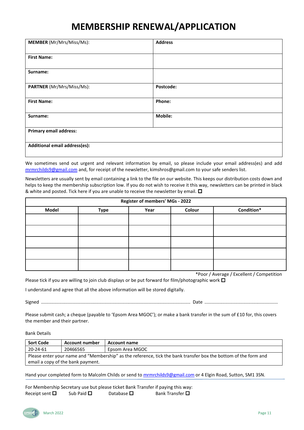### **MEMBERSHIP RENEWAL/APPLICATION**

| <b>MEMBER</b> (Mr/Mrs/Miss/Ms): | <b>Address</b> |
|---------------------------------|----------------|
|                                 |                |
| <b>First Name:</b>              |                |
|                                 |                |
| Surname:                        |                |
|                                 |                |
| PARTNER (Mr/Mrs/Miss/Ms):       | Postcode:      |
|                                 |                |
| <b>First Name:</b>              | Phone:         |
|                                 |                |
| Surname:                        | Mobile:        |
|                                 |                |
| <b>Primary email address:</b>   |                |
|                                 |                |
| Additional email address(es):   |                |
|                                 |                |

We sometimes send out urgent and relevant information by email, so please include your email address(es) and add [mrmrchilds9@gmail.com](file:///G:/My%20Drive/Data/MG/Newsletters/mrmrchilds9@gmail.com) and, for receipt of the newsletter, kimshros@gmail.com to your safe senders list.

Newsletters are usually sent by email containing a link to the file on our website. This keeps our distribution costs down and helps to keep the membership subscription low. If you do not wish to receive it this way, newsletters can be printed in black & white and posted. Tick here if you are unable to receive the newsletter by email.  $\square$ 

| Register of members' MGs - 2022 |             |      |        |            |
|---------------------------------|-------------|------|--------|------------|
| <b>Model</b>                    | <b>Type</b> | Year | Colour | Condition* |
|                                 |             |      |        |            |
|                                 |             |      |        |            |
|                                 |             |      |        |            |
|                                 |             |      |        |            |
|                                 |             |      |        |            |

\*Poor / Average / Excellent / Competition

Please tick if you are willing to join club displays or be put forward for film/photographic work  $\Box$ 

I understand and agree that all the above information will be stored digitally.

Signed .................................................................................................................... Date .........................................................

Please submit cash; a cheque (payable to 'Epsom Area MGOC'); or make a bank transfer in the sum of £10 for, this covers the member and their partner.

Bank Details

| Sort Code                                                                                                       | <b>Account number</b> | <b>Account name</b> |
|-----------------------------------------------------------------------------------------------------------------|-----------------------|---------------------|
| 20-24-61                                                                                                        | 20466565              | Epsom Area MGOC     |
| Please enter your name and "Membership" as the reference, tick the bank transfer box the bottom of the form and |                       |                     |
| email a copy of the bank payment.                                                                               |                       |                     |

Hand your completed form to Malcolm Childs or send to **mrmrchilds9@gmail.com** or 4 Elgin Road, Sutton, SM1 3SN.

For Membership Secretary use but please ticket Bank Transfer if paying this way:<br>Receipt sent  $\square$  Sub Paid  $\square$  Database  $\square$  Bank Transfer  $\square$ Receipt sent  $\square$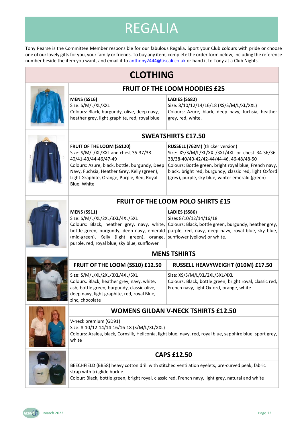## REGALIA

Tony Pearse is the Committee Member responsible for our fabulous Regalia. Sport your Club colours with pride or choose one of our lovely gifts for you, your family or friends. To buy any item, complete the order form below, including the reference number beside the item you want, and email it t[o anthony2444@tiscali.co.uk](mailto:anthony2444@tiscali.co.uk?subject=MG%20Regalia) or hand it to Tony at a Club Nights.





white

### **CAPS £12.50**

BEECHFIELD (BB58) heavy cotton drill with stitched ventilation eyelets, pre-curved peak, fabric strap with tri-glide buckle.

Colour: Black, bottle green, bright royal, classic red, French navy, light grey, natural and white

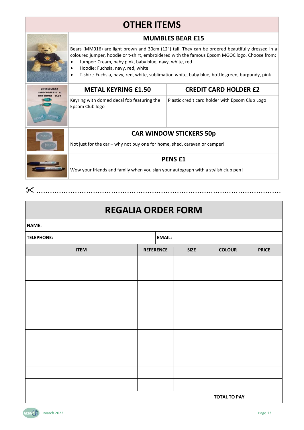### **OTHER ITEMS**

|  | <b>MUMBLES BEAR £15</b>                                                                                                                                                                                                                                                                                                                                                                                       |                                                 |  |  |  |  |
|--|---------------------------------------------------------------------------------------------------------------------------------------------------------------------------------------------------------------------------------------------------------------------------------------------------------------------------------------------------------------------------------------------------------------|-------------------------------------------------|--|--|--|--|
|  | Bears (MM016) are light brown and 30cm (12") tall. They can be ordered beautifully dressed in a<br>coloured jumper, hoodie or t-shirt, embroidered with the famous Epsom MGOC logo. Choose from:<br>Jumper: Cream, baby pink, baby blue, navy, white, red<br>Hoodie: Fuchsia, navy, red, white<br>T-shirt: Fuchsia, navy, red, white, sublimation white, baby blue, bottle green, burgundy, pink<br>$\bullet$ |                                                 |  |  |  |  |
|  | <b>METAL KEYRING £1.50</b>                                                                                                                                                                                                                                                                                                                                                                                    | <b>CREDIT CARD HOLDER £2</b>                    |  |  |  |  |
|  | Keyring with domed decal fob featuring the<br>Epsom Club logo                                                                                                                                                                                                                                                                                                                                                 | Plastic credit card holder with Epsom Club Logo |  |  |  |  |
|  | <b>CAR WINDOW STICKERS 50p</b>                                                                                                                                                                                                                                                                                                                                                                                |                                                 |  |  |  |  |
|  | Not just for the car - why not buy one for home, shed, caravan or camper!                                                                                                                                                                                                                                                                                                                                     |                                                 |  |  |  |  |
|  | <b>PENSE1</b>                                                                                                                                                                                                                                                                                                                                                                                                 |                                                 |  |  |  |  |
|  | Wow your friends and family when you sign your autograph with a stylish club pen!                                                                                                                                                                                                                                                                                                                             |                                                 |  |  |  |  |
|  |                                                                                                                                                                                                                                                                                                                                                                                                               |                                                 |  |  |  |  |

### **REGALIA ORDER FORM**

| NAME:               |                  |  |               |               |              |  |  |
|---------------------|------------------|--|---------------|---------------|--------------|--|--|
| <b>TELEPHONE:</b>   |                  |  | <b>EMAIL:</b> |               |              |  |  |
| <b>ITEM</b>         | <b>REFERENCE</b> |  | <b>SIZE</b>   | <b>COLOUR</b> | <b>PRICE</b> |  |  |
|                     |                  |  |               |               |              |  |  |
|                     |                  |  |               |               |              |  |  |
|                     |                  |  |               |               |              |  |  |
|                     |                  |  |               |               |              |  |  |
|                     |                  |  |               |               |              |  |  |
|                     |                  |  |               |               |              |  |  |
|                     |                  |  |               |               |              |  |  |
|                     |                  |  |               |               |              |  |  |
|                     |                  |  |               |               |              |  |  |
|                     |                  |  |               |               |              |  |  |
|                     |                  |  |               |               |              |  |  |
| <b>TOTAL TO PAY</b> |                  |  |               |               |              |  |  |

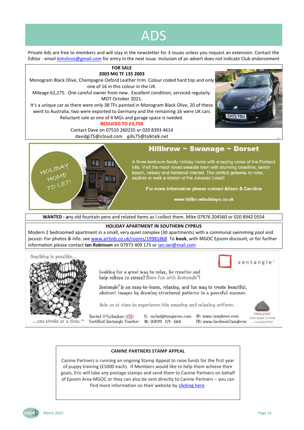## ADS

Private Ads are free to members and will stay in the newsletter for 3 issues unless you request an extension. Contact the Editor - email [kimshros@gmail.com](mailto:kimshros@gmail.com) for entry in the next issue. Inclusion of an advert does not indicate Club endorsement

### **FOR SALE 2003 MG TF 135 2003**

Monogram Black Olive, Champagne Oxford Leather trim. Colour coded hard top and only one of 16 in this colour in the UK.

Mileage 62,275. One careful owner from new. Excellent condition, serviced regularly. MOT October 2021.

It's a unique car as there were only 38 TFs painted in Monogram Black Olive, 20 of these went to Australia, two were exported to Germany and the remaining 16 were UK cars Reluctant sale as one of 4 MGs and garage space is needed.

### **REDUCED TO £3,750**

Contact Dave on 07510 260235 or 020 8393 4614 davidgi75@icloud.com gills75@talktalk.net





### Hillbrow  $\sim$  Swanage  $\sim$  Dorset

A three bedroom family holiday home with amazing views of the Purbeck hills. Visit the much loved seaside town with stunning coastline, sandy beach, railway and historical interest. The perfect getaway to relax, explore or walk a stretch of the Jurassic Coast!

For more information please contact Alison & Caroline

www.hillbrowholidays.co.uk

**WANTED - a**ny old fountain pens and related Items as I collect them. Mike 07976 204560 or 020 8942 0554

### **HOLIDAY APARTMENT IN SOUTHERN CYPRUS**

Modern 2 bedroomed apartment in a small, very quiet complex (30 apartments) with a communal swimming pool and jacuzzi. For photos & info. se[e www.airbnb.co.uk/rooms/19981868](http://www.airbnb.co.uk/rooms/19981868) To book, with MGOC Epsom discount, or for further information please contact **Ian Robinson** on 07973 409 175 o[r ian.iwr@mail.com](mailto:ian.iwr@mail.com)



### **CANINE PARTNERS STAMP APPEAL**

Canine Partners is running an ongoing Stamp Appeal to raise funds for the first year of puppy training (£5000 each). If Members would like to help them achieve their goals, Eric will take any postage stamps and send them to Canine Partners on behalf of Epsom Area MGOC or they can also be sent directly to Canine Partners – you can find more information on their website by [clicking here.](https://caninepartners.org.uk/get-involved/fundraising/recycle-used-postage-stamps/)